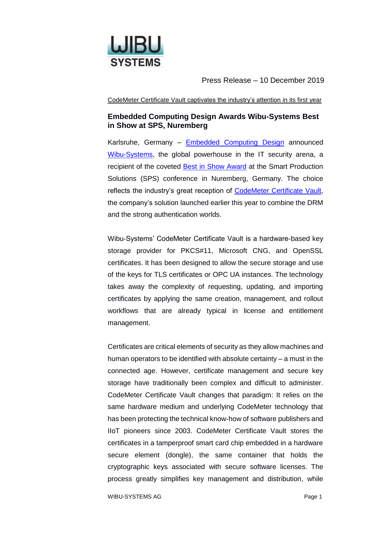

Press Release – 10 December 2019

CodeMeter Certificate Vault captivates the industry's attention in its first year

# **Embedded Computing Design Awards Wibu-Systems Best in Show at SPS, Nuremberg**

Karlsruhe, Germany – [Embedded Computing Design](http://www.embedded-computing.com/) announced [Wibu-Systems,](https://www.wibu.com/) the global powerhouse in the IT security arena, a recipient of the coveted [Best in Show Award](https://bestinshow.embedded-computing.com/) at the Smart Production Solutions (SPS) conference in Nuremberg, Germany. The choice reflects the industry's great reception of [CodeMeter Certificate Vault,](https://www.wibu.com/products/codemeter/codemeter-certificate-vault.html) the company's solution launched earlier this year to combine the DRM and the strong authentication worlds.

Wibu-Systems' CodeMeter Certificate Vault is a hardware-based key storage provider for PKCS#11, Microsoft CNG, and OpenSSL certificates. It has been designed to allow the secure storage and use of the keys for TLS certificates or OPC UA instances. The technology takes away the complexity of requesting, updating, and importing certificates by applying the same creation, management, and rollout workflows that are already typical in license and entitlement management.

Certificates are critical elements of security as they allow machines and human operators to be identified with absolute certainty – a must in the connected age. However, certificate management and secure key storage have traditionally been complex and difficult to administer. CodeMeter Certificate Vault changes that paradigm: It relies on the same hardware medium and underlying CodeMeter technology that has been protecting the technical know-how of software publishers and IIoT pioneers since 2003. CodeMeter Certificate Vault stores the certificates in a tamperproof smart card chip embedded in a hardware secure element (dongle), the same container that holds the cryptographic keys associated with secure software licenses. The process greatly simplifies key management and distribution, while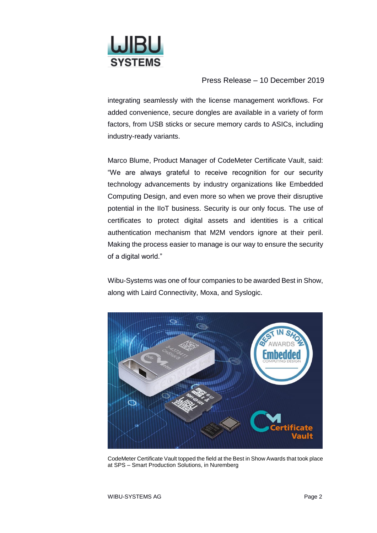

## Press Release – 10 December 2019

integrating seamlessly with the license management workflows. For added convenience, secure dongles are available in a variety of form factors, from USB sticks or secure memory cards to ASICs, including industry-ready variants.

Marco Blume, Product Manager of CodeMeter Certificate Vault, said: "We are always grateful to receive recognition for our security technology advancements by industry organizations like Embedded Computing Design, and even more so when we prove their disruptive potential in the IIoT business. Security is our only focus. The use of certificates to protect digital assets and identities is a critical authentication mechanism that M2M vendors ignore at their peril. Making the process easier to manage is our way to ensure the security of a digital world."

Wibu-Systems was one of four companies to be awarded Best in Show, along with Laird Connectivity, Moxa, and Syslogic.



CodeMeter Certificate Vault topped the field at the Best in Show Awards that took place at SPS – Smart Production Solutions, in Nuremberg